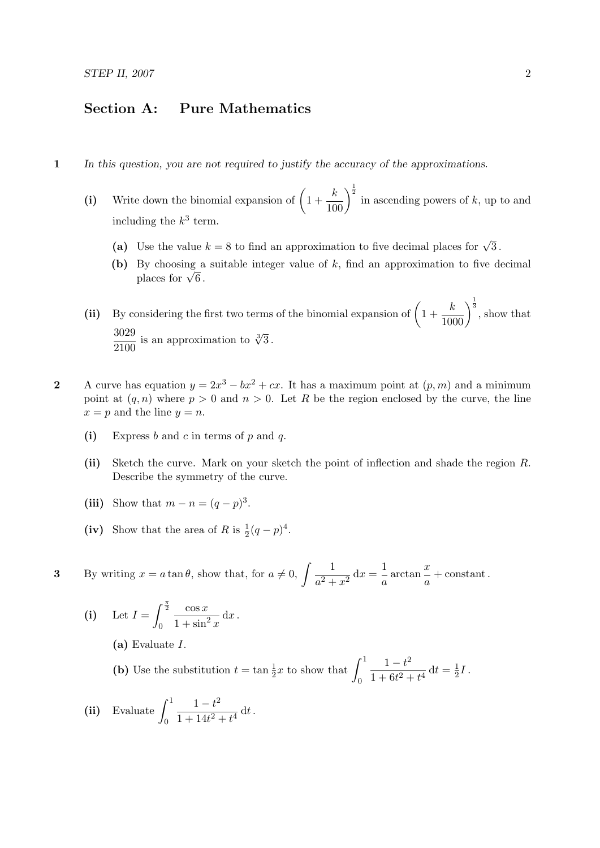## Section A: Pure Mathematics

- 1 In this question, you are not required to justify the accuracy of the approximations.
	- (i) Write down the binomial expansion of  $\left(1+\frac{k}{100}\right)^{\frac{1}{2}}$  in ascending powers of k, up to and including the  $k^3$  term.
		- (a) Use the value  $k = 8$  to find an approximation to five decimal places for  $\sqrt{3}$ .
		- (b) By choosing a suitable integer value of  $k$ , find an approximation to five decimal by cnoosing a<br>places for  $\sqrt{6}$ .

(ii) By considering the first two terms of the binomial expansion of  $\left(1+\frac{k}{1000}\right)^{\frac{1}{3}}$ , show that 3029  $\frac{3029}{2100}$  is an approximation to  $\sqrt[3]{3}$ .

- 2 A curve has equation  $y = 2x^3 bx^2 + cx$ . It has a maximum point at  $(p, m)$  and a minimum point at  $(q, n)$  where  $p > 0$  and  $n > 0$ . Let R be the region enclosed by the curve, the line  $x = p$  and the line  $y = n$ .
	- (i) Express  $b$  and  $c$  in terms of  $p$  and  $q$ .
	- (ii) Sketch the curve. Mark on your sketch the point of inflection and shade the region R. Describe the symmetry of the curve.
	- (iii) Show that  $m n = (q p)^3$ .
	- (iv) Show that the area of R is  $\frac{1}{2}(q-p)^4$ .

**3** By writing  $x = a \tan \theta$ , show that, for  $a \neq 0$ ,  $\int \frac{1}{2}$  $\frac{1}{a^2 + x^2} dx = \frac{1}{a}$  $rac{1}{a}$  arctan  $rac{x}{a}$  $\frac{a}{a}$  + constant.

(i) Let 
$$
I = \int_0^{\frac{\pi}{2}} \frac{\cos x}{1 + \sin^2 x} dx
$$
.

(a) Evaluate I.

(b) Use the substitution  $t = \tan \frac{1}{2}x$  to show that  $\int_0^1$ 0  $1 - t^2$  $\frac{1-t}{1+6t^2+t^4} dt = \frac{1}{2}$  $\frac{1}{2}I$  .

(ii) Evaluate  $\int_1^1$  $\boldsymbol{0}$  $1 - t^2$  $\frac{1}{1+14t^2+t^4} dt$ .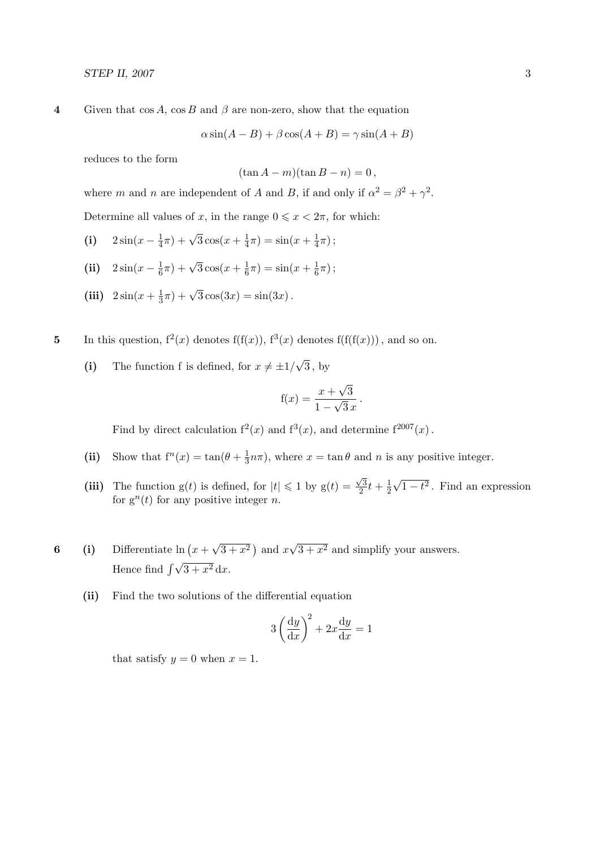4 Given that  $\cos A$ ,  $\cos B$  and  $\beta$  are non-zero, show that the equation

$$
\alpha \sin(A - B) + \beta \cos(A + B) = \gamma \sin(A + B)
$$

reduces to the form

$$
(\tan A - m)(\tan B - n) = 0,
$$

where m and n are independent of A and B, if and only if  $\alpha^2 = \beta^2 + \gamma^2$ .

Determine all values of x, in the range  $0 \leq x < 2\pi$ , for which:

- (i)  $2\sin(x \frac{1}{4})$  $(\frac{1}{4}\pi) + \sqrt{3}\cos(x + \frac{1}{4}\pi)$  $(\frac{1}{4}\pi) = \sin(x + \frac{1}{4})$  $rac{1}{4}\pi$ );
- (ii)  $2\sin(x \frac{1}{6})$  $(\frac{1}{6}\pi) + \sqrt{3}\cos(x + \frac{1}{6}\pi)$  $\frac{1}{6}\pi$ ) =  $\sin(x + \frac{1}{6})$  $\frac{1}{6}\pi$ );
- (iii)  $2\sin(x+\frac{1}{3})$  $(\frac{1}{3}\pi) + \sqrt{3}\cos(3x) = \sin(3x)$ .
- 5 In this question,  $f^2(x)$  denotes  $f(f(x))$ ,  $f^3(x)$  denotes  $f(f(f(x)))$ , and so on.
	- (i) The function f is defined, for  $x \neq \pm 1/2$ √ 3 , by

$$
f(x) = \frac{x + \sqrt{3}}{1 - \sqrt{3}x}
$$

.

Find by direct calculation  $f^2(x)$  and  $f^3(x)$ , and determine  $f^{2007}(x)$ .

- (ii) Show that  $f^{n}(x) = \tan(\theta + \frac{1}{3})$  $\frac{1}{3}n\pi$ , where  $x = \tan \theta$  and n is any positive integer.
- (iii) The function  $g(t)$  is defined, for  $|t| \leq 1$  by  $g(t) = \frac{\sqrt{3}}{2}$  $\frac{\sqrt{3}}{2}t + \frac{1}{2}$ 2 √  $\overline{1-t^2}$ . Find an expression for  $g^{n}(t)$  for any positive integer *n*.
- 6 (i) Differentiate  $\ln (x +$ √  $\overline{3+x^2}$ ) and x √  $3 + x^2$  and simplify your answers. Hence find  $\int \sqrt{3 + x^2} dx$ .
	- (ii) Find the two solutions of the differential equation

$$
3\left(\frac{\mathrm{d}y}{\mathrm{d}x}\right)^2 + 2x\frac{\mathrm{d}y}{\mathrm{d}x} = 1
$$

that satisfy  $y = 0$  when  $x = 1$ .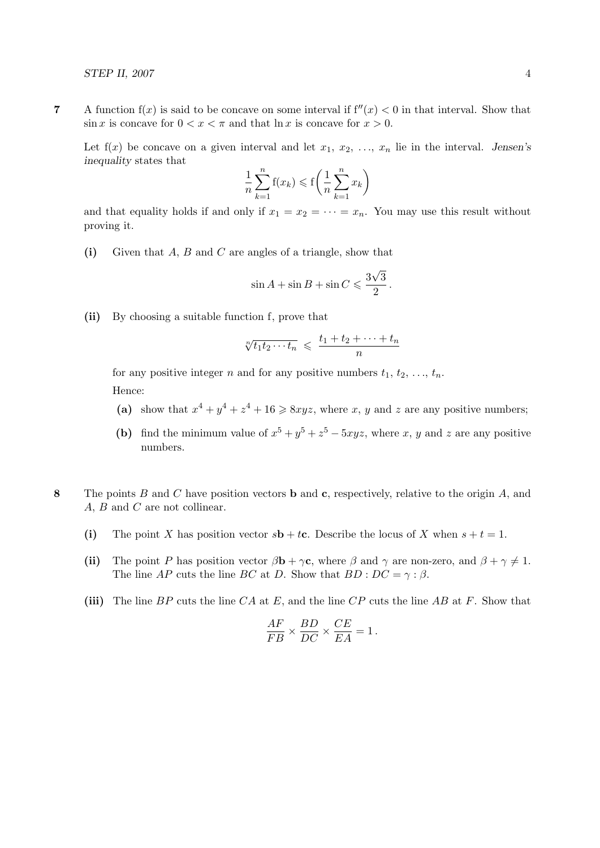7 A function  $f(x)$  is said to be concave on some interval if  $f''(x) < 0$  in that interval. Show that  $\sin x$  is concave for  $0 < x < \pi$  and that  $\ln x$  is concave for  $x > 0$ .

Let  $f(x)$  be concave on a given interval and let  $x_1, x_2, \ldots, x_n$  lie in the interval. Jensen's inequality states that

$$
\frac{1}{n}\sum_{k=1}^{n}f(x_k) \leq f\left(\frac{1}{n}\sum_{k=1}^{n}x_k\right)
$$

and that equality holds if and only if  $x_1 = x_2 = \cdots = x_n$ . You may use this result without proving it.

(i) Given that  $A, B$  and  $C$  are angles of a triangle, show that

$$
\sin A + \sin B + \sin C \leqslant \frac{3\sqrt{3}}{2}.
$$

(ii) By choosing a suitable function f, prove that

$$
\sqrt[n]{t_1t_2\cdots t_n} \leqslant \frac{t_1+t_2+\cdots+t_n}{n}
$$

for any positive integer n and for any positive numbers  $t_1, t_2, \ldots, t_n$ . Hence:

- (a) show that  $x^4 + y^4 + z^4 + 16 \geq 8xyz$ , where x, y and z are any positive numbers;
- (b) find the minimum value of  $x^5 + y^5 + z^5 5xyz$ , where x, y and z are any positive numbers.
- 8 The points B and C have position vectors **b** and **c**, respectively, relative to the origin A, and A, B and C are not collinear.
	- (i) The point X has position vector  $s\mathbf{b} + t\mathbf{c}$ . Describe the locus of X when  $s + t = 1$ .
	- (ii) The point P has position vector  $\beta \mathbf{b} + \gamma \mathbf{c}$ , where  $\beta$  and  $\gamma$  are non-zero, and  $\beta + \gamma \neq 1$ . The line AP cuts the line BC at D. Show that  $BD : DC = \gamma : \beta$ .
	- (iii) The line  $BP$  cuts the line  $CA$  at E, and the line  $CP$  cuts the line  $AB$  at F. Show that

$$
\frac{AF}{FB} \times \frac{BD}{DC} \times \frac{CE}{EA} = 1.
$$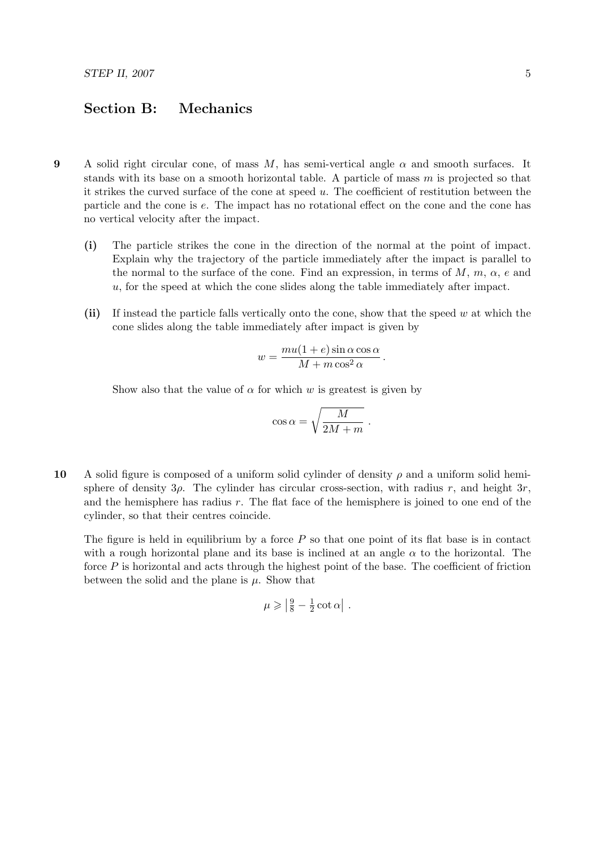## Section B: Mechanics

- 9 A solid right circular cone, of mass M, has semi-vertical angle  $\alpha$  and smooth surfaces. It stands with its base on a smooth horizontal table. A particle of mass  $m$  is projected so that it strikes the curved surface of the cone at speed  $u$ . The coefficient of restitution between the particle and the cone is e. The impact has no rotational effect on the cone and the cone has no vertical velocity after the impact.
	- (i) The particle strikes the cone in the direction of the normal at the point of impact. Explain why the trajectory of the particle immediately after the impact is parallel to the normal to the surface of the cone. Find an expression, in terms of  $M$ ,  $m$ ,  $\alpha$ ,  $e$  and u, for the speed at which the cone slides along the table immediately after impact.
	- (ii) If instead the particle falls vertically onto the cone, show that the speed  $w$  at which the cone slides along the table immediately after impact is given by

$$
w = \frac{mu(1+e)\sin\alpha\cos\alpha}{M+m\cos^2\alpha}.
$$

Show also that the value of  $\alpha$  for which w is greatest is given by

$$
\cos\alpha = \sqrt{\frac{M}{2M+m}} \ .
$$

10 A solid figure is composed of a uniform solid cylinder of density  $\rho$  and a uniform solid hemisphere of density  $3\rho$ . The cylinder has circular cross-section, with radius r, and height  $3r$ , and the hemisphere has radius  $r$ . The flat face of the hemisphere is joined to one end of the cylinder, so that their centres coincide.

The figure is held in equilibrium by a force  $P$  so that one point of its flat base is in contact with a rough horizontal plane and its base is inclined at an angle  $\alpha$  to the horizontal. The force  $P$  is horizontal and acts through the highest point of the base. The coefficient of friction between the solid and the plane is  $\mu$ . Show that

$$
\mu \geqslant \left| \frac{9}{8} - \frac{1}{2} \cot \alpha \right| \, .
$$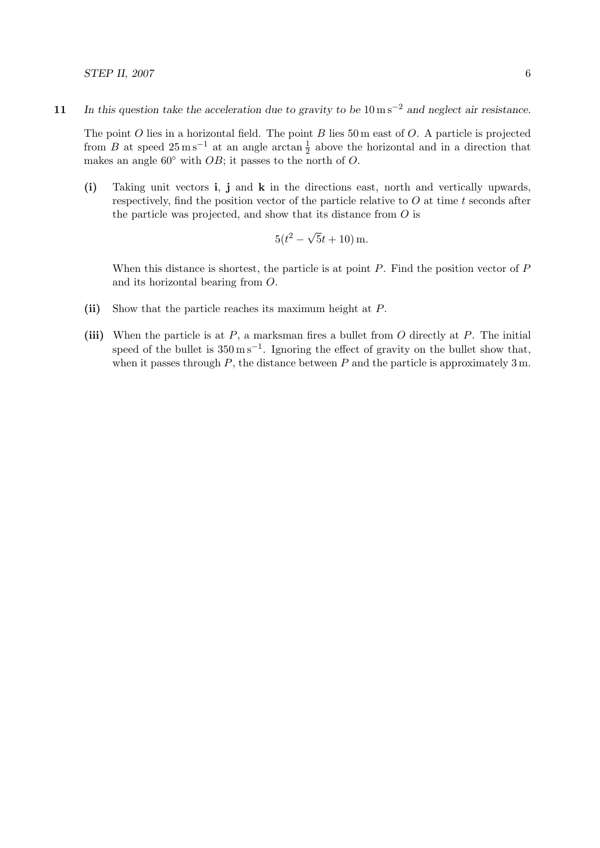The point  $O$  lies in a horizontal field. The point  $B$  lies 50 m east of  $O$ . A particle is projected from B at speed  $25 \text{ m s}^{-1}$  at an angle arctan  $\frac{1}{2}$  above the horizontal and in a direction that makes an angle  $60°$  with OB; it passes to the north of O.

(i) Taking unit vectors i, j and k in the directions east, north and vertically upwards, respectively, find the position vector of the particle relative to  $O$  at time  $t$  seconds after the particle was projected, and show that its distance from O is

$$
5(t^2 - \sqrt{5}t + 10)
$$
 m.

When this distance is shortest, the particle is at point  $P$ . Find the position vector of  $P$ and its horizontal bearing from O.

- (ii) Show that the particle reaches its maximum height at P.
- (iii) When the particle is at  $P$ , a marksman fires a bullet from  $O$  directly at  $P$ . The initial speed of the bullet is  $350 \,\mathrm{m\,s^{-1}}$ . Ignoring the effect of gravity on the bullet show that, when it passes through  $P$ , the distance between  $P$  and the particle is approximately 3 m.